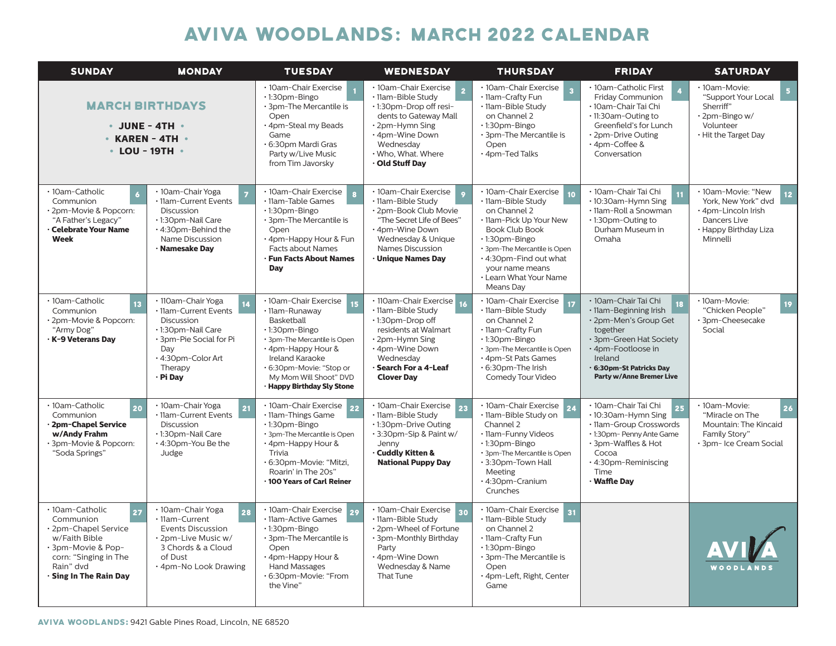## AVIVA Woodlands**:** March 2022 CALENDAR

| <b>SUNDAY</b>                                                                                                                                                                                 | <b>MONDAY</b>                                                                                                                                                         | <b>TUESDAY</b>                                                                                                                                                                                                                                   | <b>WEDNESDAY</b>                                                                                                                                                                                 | <b>THURSDAY</b>                                                                                                                                                                                                                                             | <b>FRIDAY</b>                                                                                                                                                                                                | <b>SATURDAY</b>                                                                                                                          |
|-----------------------------------------------------------------------------------------------------------------------------------------------------------------------------------------------|-----------------------------------------------------------------------------------------------------------------------------------------------------------------------|--------------------------------------------------------------------------------------------------------------------------------------------------------------------------------------------------------------------------------------------------|--------------------------------------------------------------------------------------------------------------------------------------------------------------------------------------------------|-------------------------------------------------------------------------------------------------------------------------------------------------------------------------------------------------------------------------------------------------------------|--------------------------------------------------------------------------------------------------------------------------------------------------------------------------------------------------------------|------------------------------------------------------------------------------------------------------------------------------------------|
| <b>MARCH BIRTHDAYS</b><br>$\cdot$ JUNE - 4TH $\cdot$<br>$\cdot$ KAREN - 4TH $\cdot$<br>$\cdot$ LOU - 19TH $\cdot$                                                                             |                                                                                                                                                                       | · 10am-Chair Exercise<br>$\cdot$ 1:30pm-Bingo<br>· 3pm-The Mercantile is<br>Open<br>4pm-Steal my Beads<br>Game<br>6:30pm Mardi Gras<br>Party w/Live Music<br>from Tim Javorsky                                                                   | · 10am-Chair Exercise<br>· 11am-Bible Study<br>.1:30pm-Drop off resi-<br>dents to Gateway Mall<br>$\cdot$ 2pm-Hymn Sing<br>· 4pm-Wine Down<br>Wednesday<br>. Who, What. Where<br>∙ Old Stuff Day | · 10am-Chair Exercise<br>· 11am-Crafty Fun<br>· 11am-Bible Study<br>on Channel 2<br>$\cdot$ 1:30pm-Bingo<br>· 3pm-The Mercantile is<br>Open<br>· 4pm-Ted Talks                                                                                              | · 10am-Catholic First<br><b>Friday Communion</b><br>· 10am-Chair Tai Chi<br>$\cdot$ 11:30 am - Outing to<br>Greenfield's for Lunch<br>• 2pm-Drive Outing<br>• 4pm-Coffee &<br>Conversation                   | · 10am-Movie:<br>"Support Your Local<br>Sherriff"<br>$\cdot$ 2pm-Bingo w/<br>Volunteer<br>. Hit the Target Day                           |
| · 10am-Catholic<br>Communion<br>· 2pm-Movie & Popcorn:<br>"A Father's Legacy"<br>· Celebrate Your Name<br>Week                                                                                | • 10am-Chair Yoga<br>· 11am-Current Events<br>Discussion<br>· 1:30pm-Nail Care<br>• 4:30pm-Behind the<br>Name Discussion<br>· Namesake Day                            | · 10am-Chair Exercise<br>· 11am-Table Games<br>$\cdot$ 1:30pm-Bingo<br>· 3pm-The Mercantile is<br>Open<br>· 4pm-Happy Hour & Fun<br><b>Facts about Names</b><br><b>Fun Facts About Names</b><br>Day                                              | · 10am-Chair Exercise<br>· 11am-Bible Study<br>· 2pm-Book Club Movie<br>"The Secret Life of Bees"<br>. 4pm-Wine Down<br>Wednesday & Unique<br>Names Discussion<br>· Unique Names Day             | · 10am-Chair Exercise<br>10<br>· 11am-Bible Study<br>on Channel 2<br>· 11am-Pick Up Your New<br><b>Book Club Book</b><br>· 1:30pm-Bingo<br>· 3pm-The Mercantile is Open<br>. 4:30pm-Find out what<br>your name means<br>• Learn What Your Name<br>Means Day | · 10am-Chair Tai Chi<br>• 10:30am-Hymn Sing<br>· 11am-Roll a Snowman<br>$\cdot$ 1:30pm-Outing to<br>Durham Museum in<br>Omaha                                                                                | · 10am-Movie: "New<br>12 <sub>2</sub><br>York. New York" dvd<br>· 4pm-Lincoln Irish<br>Dancers Live<br>• Happy Birthday Liza<br>Minnelli |
| · 10am-Catholic<br>13<br>Communion<br>· 2pm-Movie & Popcorn:<br>"Army Dog"<br>· K-9 Veterans Day                                                                                              | · 110am-Chair Yoga<br>· 11am-Current Events<br><b>Discussion</b><br>· 1:30pm-Nail Care<br>· 3pm-Pie Social for Pi<br>Day<br>· 4:30pm-Color Art<br>Therapy<br>· Pi Day | · 10am-Chair Exercise<br>15<br>· 11am-Runaway<br>Basketball<br>$\cdot$ 1:30pm-Bingo<br>· 3pm-The Mercantile is Open<br>· 4pm-Happy Hour &<br>Ireland Karaoke<br>· 6:30pm-Movie: "Stop or<br>My Mom Will Shoot" DVD<br>· Happy Birthday Sly Stone | · 110am-Chair Exercise<br>· 11am-Bible Study<br>•1:30pm-Drop off<br>residents at Walmart<br>· 2pm-Hymn Sing<br>. 4pm-Wine Down<br>Wednesday<br>· Search For a 4-Leaf<br><b>Clover Day</b>        | · 10am-Chair Exercise<br>17<br>· 11am-Bible Study<br>on Channel 2<br>· 11am-Crafty Fun<br>$\cdot$ 1:30pm-Bingo<br>· 3pm-The Mercantile is Open<br>· 4pm-St Pats Games<br>. 6:30pm-The Irish<br>Comedy Tour Video                                            | · 10am-Chair Tai Chi<br>· 11am-Beginning Irish<br>· 2pm-Men's Group Get<br>together<br>· 3pm-Green Hat Society<br>· 4pm-Footloose in<br>Ireland<br>6:30pm-St Patricks Day<br><b>Party w/Anne Bremer Live</b> | · 10am-Movie:<br>19 <sup>°</sup><br>"Chicken People"<br>· 3pm-Cheesecake<br>Social                                                       |
| · 10am-Catholic<br>20<br>Communion<br>· 2pm-Chapel Service<br>w/Andy Frahm<br>· 3pm-Movie & Popcorn:<br>"Soda Springs"                                                                        | • 10am-Chair Yoga<br>21<br>· 11am-Current Events<br><b>Discussion</b><br>· 1:30pm-Nail Care<br>. 4:30pm-You Be the<br>Judge                                           | · 10am-Chair Exercise<br>22<br>· 11am-Things Game<br>$\cdot$ 1:30pm-Bingo<br>· 3pm-The Mercantile is Open<br>· 4pm-Happy Hour &<br>Trivia<br>· 6:30pm-Movie: "Mitzi,<br>Roarin' in The 20s"<br>· 100 Years of Carl Reiner                        | · 10am-Chair Exercise<br>23<br>· 11am-Bible Study<br>.1:30pm-Drive Outing<br>· 3:30pm-Sip & Paint w/<br>Jenny<br>· Cuddly Kitten &<br><b>National Puppy Day</b>                                  | · 10am-Chair Exercise<br>· 11am-Bible Study on<br>Channel 2<br>· 11am-Funny Videos<br>$\cdot$ 1:30pm-Bingo<br>· 3pm-The Mercantile is Open<br>· 3:30pm-Town Hall<br>Meeting<br>· 4:30pm-Cranium<br>Crunches                                                 | · 10am-Chair Tai Chi<br>25<br>· 10:30am-Hymn Sing<br>· 11am-Group Crosswords<br>. 1:30pm- Penny Ante Game<br>· 3pm-Waffles & Hot<br>Cocoa<br>· 4:30pm-Reminiscing<br>Time<br>· Waffle Dav                    | · 10am-Movie:<br>26<br>"Miracle on The<br>Mountain: The Kincaid<br>Family Story"<br>· 3pm- Ice Cream Social                              |
| · 10am-Catholic<br>$\overline{\mathbf{27}}$<br>Communion<br>· 2pm-Chapel Service<br>w/Faith Bible<br>· 3pm-Movie & Pop-<br>corn: "Singing in The<br>Rain" dvd<br>$\cdot$ Sing In The Rain Day | · 10am-Chair Yoga<br>28<br>· 11am-Current<br><b>Events Discussion</b><br>· 2pm-Live Music w/<br>3 Chords & a Cloud<br>of Dust<br>. 4pm-No Look Drawing                | · 10am-Chair Exercise<br>29<br>· 11am-Active Games<br>$\cdot$ 1:30pm-Bingo<br>· 3pm-The Mercantile is<br>Open<br>· 4pm-Happy Hour &<br>Hand Massages<br>· 6:30pm-Movie: "From<br>the Vine"                                                       | · 10am-Chair Exercise 30<br>· 11am-Bible Study<br>· 2pm-Wheel of Fortune<br>· 3pm-Monthly Birthday<br>Party<br>· 4pm-Wine Down<br>Wednesday & Name<br>That Tune                                  | · 10am-Chair Exercise<br>31<br>· 11am-Bible Study<br>on Channel 2<br>· 11am-Crafty Fun<br>· 1:30pm-Bingo<br>· 3pm-The Mercantile is<br>Open<br>· 4pm-Left, Right, Center<br>Game                                                                            |                                                                                                                                                                                                              | WOODLANDS                                                                                                                                |